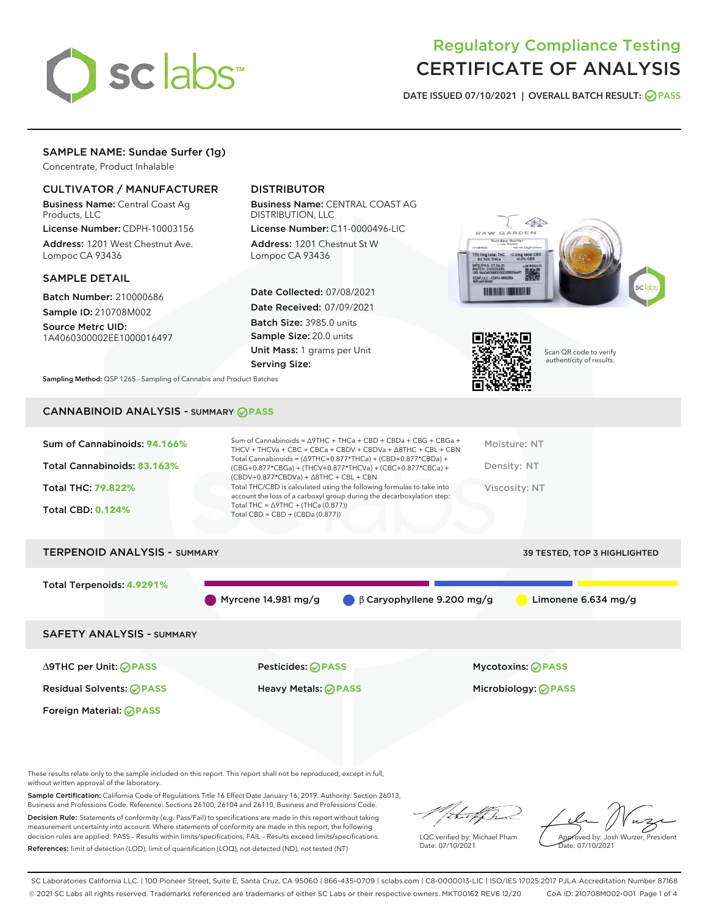

# Regulatory Compliance Testing CERTIFICATE OF ANALYSIS

DATE ISSUED 07/10/2021 | OVERALL BATCH RESULT: @ PASS

## SAMPLE NAME: Sundae Surfer (1g)

Concentrate, Product Inhalable

## CULTIVATOR / MANUFACTURER

Business Name: Central Coast Ag Products, LLC

License Number: CDPH-10003156 Address: 1201 West Chestnut Ave. Lompoc CA 93436

#### SAMPLE DETAIL

Batch Number: 210000686 Sample ID: 210708M002

Source Metrc UID: 1A4060300002EE1000016497

## DISTRIBUTOR

Business Name: CENTRAL COAST AG DISTRIBUTION, LLC

License Number: C11-0000496-LIC Address: 1201 Chestnut St W Lompoc CA 93436

Date Collected: 07/08/2021 Date Received: 07/09/2021 Batch Size: 3985.0 units Sample Size: 20.0 units Unit Mass: 1 grams per Unit Serving Size:





Scan QR code to verify authenticity of results.

Sampling Method: QSP 1265 - Sampling of Cannabis and Product Batches

#### CANNABINOID ANALYSIS - SUMMARY **PASS**

| Total THC/CBD is calculated using the following formulas to take into<br>Total THC: 79.822%<br>Viscosity: NT<br>account the loss of a carboxyl group during the decarboxylation step:<br>Total THC = $\triangle$ 9THC + (THCa (0.877))<br><b>Total CBD: 0.124%</b><br>Total CBD = $CBD + (CBDa (0.877))$ | Sum of Cannabinoids: 94.166%<br>Total Cannabinoids: 83.163% | Sum of Cannabinoids = $\triangle$ 9THC + THCa + CBD + CBDa + CBG + CBGa +<br>THCV + THCVa + CBC + CBCa + CBDV + CBDVa + $\Delta$ 8THC + CBL + CBN<br>Total Cannabinoids = $(\Delta 9THC+0.877*THCa) + (CBD+0.877*CBDa) +$<br>(CBG+0.877*CBGa) + (THCV+0.877*THCVa) + (CBC+0.877*CBCa) +<br>$(CBDV+0.877*CBDVa) + \Delta 8THC + CBL + CBN$ | Moisture: NT<br>Density: NT |
|----------------------------------------------------------------------------------------------------------------------------------------------------------------------------------------------------------------------------------------------------------------------------------------------------------|-------------------------------------------------------------|-------------------------------------------------------------------------------------------------------------------------------------------------------------------------------------------------------------------------------------------------------------------------------------------------------------------------------------------|-----------------------------|
|                                                                                                                                                                                                                                                                                                          |                                                             |                                                                                                                                                                                                                                                                                                                                           |                             |

### TERPENOID ANALYSIS - SUMMARY 39 TESTED, TOP 3 HIGHLIGHTED

Total Terpenoids: **4.9291%**

Myrcene 14.981 mg/g β Caryophyllene 9.200 mg/g Limonene 6.634 mg/g

SAFETY ANALYSIS - SUMMARY

∆9THC per Unit: **PASS** Pesticides: **PASS** Mycotoxins: **PASS**

Residual Solvents: **PASS** Heavy Metals: **PASS** Microbiology: **PASS**

Foreign Material: **PASS**

These results relate only to the sample included on this report. This report shall not be reproduced, except in full, without written approval of the laboratory.

Sample Certification: California Code of Regulations Title 16 Effect Date January 16, 2019. Authority: Section 26013, Business and Professions Code. Reference: Sections 26100, 26104 and 26110, Business and Professions Code. Decision Rule: Statements of conformity (e.g. Pass/Fail) to specifications are made in this report without taking

measurement uncertainty into account. Where statements of conformity are made in this report, the following decision rules are applied: PASS – Results within limits/specifications, FAIL – Results exceed limits/specifications. References: limit of detection (LOD), limit of quantification (LOQ), not detected (ND), not tested (NT)

that for

LQC verified by: Michael Pham Date: 07/10/2021

Approved by: Josh Wurzer, President ate: 07/10/2021

SC Laboratories California LLC. | 100 Pioneer Street, Suite E, Santa Cruz, CA 95060 | 866-435-0709 | sclabs.com | C8-0000013-LIC | ISO/IES 17025:2017 PJLA Accreditation Number 87168 © 2021 SC Labs all rights reserved. Trademarks referenced are trademarks of either SC Labs or their respective owners. MKT00162 REV6 12/20 CoA ID: 210708M002-001 Page 1 of 4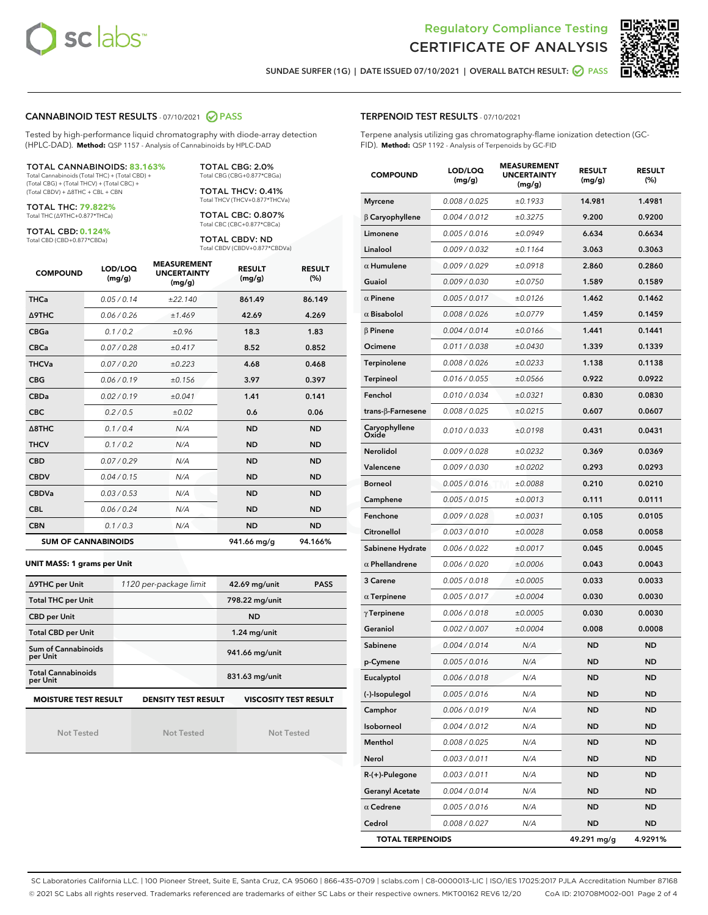



SUNDAE SURFER (1G) | DATE ISSUED 07/10/2021 | OVERALL BATCH RESULT: @ PASS

#### CANNABINOID TEST RESULTS - 07/10/2021 2 PASS

Tested by high-performance liquid chromatography with diode-array detection (HPLC-DAD). **Method:** QSP 1157 - Analysis of Cannabinoids by HPLC-DAD

#### TOTAL CANNABINOIDS: **83.163%**

Total Cannabinoids (Total THC) + (Total CBD) + (Total CBG) + (Total THCV) + (Total CBC) + (Total CBDV) + ∆8THC + CBL + CBN

TOTAL THC: **79.822%** Total THC (∆9THC+0.877\*THCa)

TOTAL CBD: **0.124%**

Total CBD (CBD+0.877\*CBDa)

TOTAL CBG: 2.0% Total CBG (CBG+0.877\*CBGa)

TOTAL THCV: 0.41% Total THCV (THCV+0.877\*THCVa)

TOTAL CBC: 0.807% Total CBC (CBC+0.877\*CBCa)

TOTAL CBDV: ND Total CBDV (CBDV+0.877\*CBDVa)

| <b>COMPOUND</b>  | LOD/LOQ<br>(mg/g)          | <b>MEASUREMENT</b><br><b>UNCERTAINTY</b><br>(mg/g) | <b>RESULT</b><br>(mg/g) | <b>RESULT</b><br>(%) |
|------------------|----------------------------|----------------------------------------------------|-------------------------|----------------------|
| <b>THCa</b>      | 0.05/0.14                  | ±22.140                                            | 861.49                  | 86.149               |
| <b>A9THC</b>     | 0.06 / 0.26                | ±1.469                                             | 42.69                   | 4.269                |
| <b>CBGa</b>      | 0.1 / 0.2                  | ±0.96                                              | 18.3                    | 1.83                 |
| <b>CBCa</b>      | 0.07/0.28                  | ±0.417                                             | 8.52                    | 0.852                |
| <b>THCVa</b>     | 0.07/0.20                  | ±0.223                                             | 4.68                    | 0.468                |
| <b>CBG</b>       | 0.06/0.19                  | ±0.156                                             | 3.97                    | 0.397                |
| <b>CBDa</b>      | 0.02/0.19                  | ±0.041                                             | 1.41                    | 0.141                |
| <b>CBC</b>       | 0.2 / 0.5                  | ±0.02                                              | 0.6                     | 0.06                 |
| $\triangle$ 8THC | 0.1/0.4                    | N/A                                                | <b>ND</b>               | <b>ND</b>            |
| <b>THCV</b>      | 0.1/0.2                    | N/A                                                | <b>ND</b>               | <b>ND</b>            |
| <b>CBD</b>       | 0.07/0.29                  | N/A                                                | <b>ND</b>               | <b>ND</b>            |
| <b>CBDV</b>      | 0.04 / 0.15                | N/A                                                | <b>ND</b>               | <b>ND</b>            |
| <b>CBDVa</b>     | 0.03/0.53                  | N/A                                                | <b>ND</b>               | <b>ND</b>            |
| <b>CBL</b>       | 0.06 / 0.24                | N/A                                                | <b>ND</b>               | <b>ND</b>            |
| <b>CBN</b>       | 0.1/0.3                    | N/A                                                | <b>ND</b>               | <b>ND</b>            |
|                  | <b>SUM OF CANNABINOIDS</b> |                                                    | 941.66 mg/g             | 94.166%              |

#### **UNIT MASS: 1 grams per Unit**

| ∆9THC per Unit                        | 1120 per-package limit     | 42.69 mg/unit<br><b>PASS</b> |  |  |
|---------------------------------------|----------------------------|------------------------------|--|--|
| <b>Total THC per Unit</b>             |                            | 798.22 mg/unit               |  |  |
| <b>CBD per Unit</b>                   |                            | <b>ND</b>                    |  |  |
| <b>Total CBD per Unit</b>             |                            | $1.24$ mg/unit               |  |  |
| Sum of Cannabinoids<br>per Unit       |                            | 941.66 mg/unit               |  |  |
| <b>Total Cannabinoids</b><br>per Unit |                            | 831.63 mg/unit               |  |  |
| <b>MOISTURE TEST RESULT</b>           | <b>DENSITY TEST RESULT</b> | <b>VISCOSITY TEST RESULT</b> |  |  |

Not Tested

Not Tested

Not Tested

#### TERPENOID TEST RESULTS - 07/10/2021

Terpene analysis utilizing gas chromatography-flame ionization detection (GC-FID). **Method:** QSP 1192 - Analysis of Terpenoids by GC-FID

| <b>COMPOUND</b>         | LOD/LOQ<br>(mg/g) | <b>MEASUREMENT</b><br><b>UNCERTAINTY</b><br>(mg/g) | <b>RESULT</b><br>(mg/g) | <b>RESULT</b><br>$(\%)$ |
|-------------------------|-------------------|----------------------------------------------------|-------------------------|-------------------------|
| <b>Myrcene</b>          | 0.008 / 0.025     | ±0.1933                                            | 14.981                  | 1.4981                  |
| $\beta$ Caryophyllene   | 0.004 / 0.012     | ±0.3275                                            | 9.200                   | 0.9200                  |
| Limonene                | 0.005 / 0.016     | ±0.0949                                            | 6.634                   | 0.6634                  |
| Linalool                | 0.009 / 0.032     | ±0.1164                                            | 3.063                   | 0.3063                  |
| $\alpha$ Humulene       | 0.009 / 0.029     | ±0.0918                                            | 2.860                   | 0.2860                  |
| Guaiol                  | 0.009 / 0.030     | ±0.0750                                            | 1.589                   | 0.1589                  |
| $\alpha$ Pinene         | 0.005 / 0.017     | ±0.0126                                            | 1.462                   | 0.1462                  |
| $\alpha$ Bisabolol      | 0.008 / 0.026     | ±0.0779                                            | 1.459                   | 0.1459                  |
| $\beta$ Pinene          | 0.004 / 0.014     | ±0.0166                                            | 1.441                   | 0.1441                  |
| Ocimene                 | 0.011 / 0.038     | ±0.0430                                            | 1.339                   | 0.1339                  |
| Terpinolene             | 0.008 / 0.026     | ±0.0233                                            | 1.138                   | 0.1138                  |
| Terpineol               | 0.016 / 0.055     | ±0.0566                                            | 0.922                   | 0.0922                  |
| Fenchol                 | 0.010 / 0.034     | ±0.0321                                            | 0.830                   | 0.0830                  |
| trans-ß-Farnesene       | 0.008 / 0.025     | ±0.0215                                            | 0.607                   | 0.0607                  |
| Caryophyllene<br>Oxide  | 0.010 / 0.033     | ±0.0198                                            | 0.431                   | 0.0431                  |
| Nerolidol               | 0.009 / 0.028     | ±0.0232                                            | 0.369                   | 0.0369                  |
| Valencene               | 0.009 / 0.030     | ±0.0202                                            | 0.293                   | 0.0293                  |
| <b>Borneol</b>          | 0.005 / 0.016     | ±0.0088                                            | 0.210                   | 0.0210                  |
| Camphene                | 0.005 / 0.015     | ±0.0013                                            | 0.111                   | 0.0111                  |
| Fenchone                | 0.009 / 0.028     | ±0.0031                                            | 0.105                   | 0.0105                  |
| Citronellol             | 0.003 / 0.010     | ±0.0028                                            | 0.058                   | 0.0058                  |
| Sabinene Hydrate        | 0.006 / 0.022     | ±0.0017                                            | 0.045                   | 0.0045                  |
| $\alpha$ Phellandrene   | 0.006 / 0.020     | ±0.0006                                            | 0.043                   | 0.0043                  |
| 3 Carene                | 0.005 / 0.018     | ±0.0005                                            | 0.033                   | 0.0033                  |
| $\alpha$ Terpinene      | 0.005 / 0.017     | ±0.0004                                            | 0.030                   | 0.0030                  |
| $\gamma$ Terpinene      | 0.006 / 0.018     | ±0.0005                                            | 0.030                   | 0.0030                  |
| Geraniol                | 0.002 / 0.007     | ±0.0004                                            | 0.008                   | 0.0008                  |
| Sabinene                | 0.004 / 0.014     | N/A                                                | ND                      | <b>ND</b>               |
| p-Cymene                | 0.005 / 0.016     | N/A                                                | ND                      | <b>ND</b>               |
| Eucalyptol              | 0.006 / 0.018     | N/A                                                | <b>ND</b>               | <b>ND</b>               |
| (-)-Isopulegol          | 0.005 / 0.016     | N/A                                                | ND                      | ND                      |
| Camphor                 | 0.006 / 0.019     | N/A                                                | ND                      | ND                      |
| Isoborneol              | 0.004 / 0.012     | N/A                                                | ND                      | ND                      |
| Menthol                 | 0.008 / 0.025     | N/A                                                | <b>ND</b>               | ND                      |
| Nerol                   | 0.003 / 0.011     | N/A                                                | ND                      | ND                      |
| R-(+)-Pulegone          | 0.003 / 0.011     | N/A                                                | ND                      | ND                      |
| <b>Geranyl Acetate</b>  | 0.004 / 0.014     | N/A                                                | ND                      | ND                      |
| $\alpha$ Cedrene        | 0.005 / 0.016     | N/A                                                | ND                      | ND                      |
| Cedrol                  | 0.008 / 0.027     | N/A                                                | ND                      | <b>ND</b>               |
| <b>TOTAL TERPENOIDS</b> |                   | 49.291 mg/g                                        | 4.9291%                 |                         |

SC Laboratories California LLC. | 100 Pioneer Street, Suite E, Santa Cruz, CA 95060 | 866-435-0709 | sclabs.com | C8-0000013-LIC | ISO/IES 17025:2017 PJLA Accreditation Number 87168 © 2021 SC Labs all rights reserved. Trademarks referenced are trademarks of either SC Labs or their respective owners. MKT00162 REV6 12/20 CoA ID: 210708M002-001 Page 2 of 4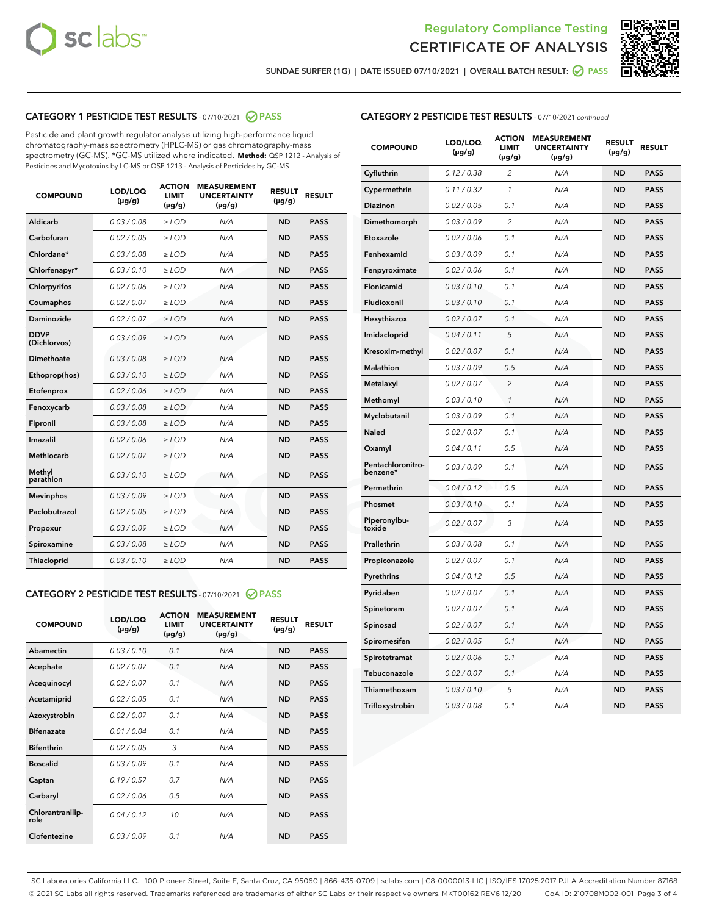



SUNDAE SURFER (1G) | DATE ISSUED 07/10/2021 | OVERALL BATCH RESULT: @ PASS

## CATEGORY 1 PESTICIDE TEST RESULTS - 07/10/2021 2 PASS

Pesticide and plant growth regulator analysis utilizing high-performance liquid chromatography-mass spectrometry (HPLC-MS) or gas chromatography-mass spectrometry (GC-MS). \*GC-MS utilized where indicated. **Method:** QSP 1212 - Analysis of Pesticides and Mycotoxins by LC-MS or QSP 1213 - Analysis of Pesticides by GC-MS

| <b>COMPOUND</b>             | LOD/LOQ<br>$(\mu g/g)$ | <b>ACTION</b><br><b>LIMIT</b><br>$(\mu g/g)$ | <b>MEASUREMENT</b><br><b>UNCERTAINTY</b><br>$(\mu g/g)$ | <b>RESULT</b><br>$(\mu g/g)$ | <b>RESULT</b> |
|-----------------------------|------------------------|----------------------------------------------|---------------------------------------------------------|------------------------------|---------------|
| Aldicarb                    | 0.03 / 0.08            | $\ge$ LOD                                    | N/A                                                     | <b>ND</b>                    | <b>PASS</b>   |
| Carbofuran                  | 0.02 / 0.05            | $\ge$ LOD                                    | N/A                                                     | <b>ND</b>                    | <b>PASS</b>   |
| Chlordane*                  | 0.03 / 0.08            | $\ge$ LOD                                    | N/A                                                     | <b>ND</b>                    | <b>PASS</b>   |
| Chlorfenapyr*               | 0.03/0.10              | $\ge$ LOD                                    | N/A                                                     | <b>ND</b>                    | <b>PASS</b>   |
| Chlorpyrifos                | 0.02 / 0.06            | $\ge$ LOD                                    | N/A                                                     | <b>ND</b>                    | <b>PASS</b>   |
| Coumaphos                   | 0.02 / 0.07            | $\ge$ LOD                                    | N/A                                                     | <b>ND</b>                    | <b>PASS</b>   |
| Daminozide                  | 0.02 / 0.07            | $\ge$ LOD                                    | N/A                                                     | <b>ND</b>                    | <b>PASS</b>   |
| <b>DDVP</b><br>(Dichlorvos) | 0.03/0.09              | $>$ LOD                                      | N/A                                                     | <b>ND</b>                    | <b>PASS</b>   |
| Dimethoate                  | 0.03 / 0.08            | $\ge$ LOD                                    | N/A                                                     | <b>ND</b>                    | <b>PASS</b>   |
| Ethoprop(hos)               | 0.03/0.10              | $>$ LOD                                      | N/A                                                     | <b>ND</b>                    | <b>PASS</b>   |
| Etofenprox                  | 0.02 / 0.06            | $\ge$ LOD                                    | N/A                                                     | <b>ND</b>                    | <b>PASS</b>   |
| Fenoxycarb                  | 0.03 / 0.08            | $\ge$ LOD                                    | N/A                                                     | <b>ND</b>                    | <b>PASS</b>   |
| Fipronil                    | 0.03/0.08              | $\ge$ LOD                                    | N/A                                                     | <b>ND</b>                    | <b>PASS</b>   |
| Imazalil                    | 0.02 / 0.06            | $\geq$ LOD                                   | N/A                                                     | <b>ND</b>                    | <b>PASS</b>   |
| <b>Methiocarb</b>           | 0.02 / 0.07            | $\ge$ LOD                                    | N/A                                                     | <b>ND</b>                    | <b>PASS</b>   |
| Methyl<br>parathion         | 0.03/0.10              | $\ge$ LOD                                    | N/A                                                     | <b>ND</b>                    | <b>PASS</b>   |
| <b>Mevinphos</b>            | 0.03/0.09              | $\ge$ LOD                                    | N/A                                                     | <b>ND</b>                    | <b>PASS</b>   |
| Paclobutrazol               | 0.02 / 0.05            | $>$ LOD                                      | N/A                                                     | <b>ND</b>                    | <b>PASS</b>   |
| Propoxur                    | 0.03 / 0.09            | $\ge$ LOD                                    | N/A                                                     | <b>ND</b>                    | <b>PASS</b>   |
| Spiroxamine                 | 0.03 / 0.08            | $\ge$ LOD                                    | N/A                                                     | <b>ND</b>                    | <b>PASS</b>   |
| Thiacloprid                 | 0.03/0.10              | $\ge$ LOD                                    | N/A                                                     | <b>ND</b>                    | <b>PASS</b>   |

#### CATEGORY 2 PESTICIDE TEST RESULTS - 07/10/2021 @ PASS

| <b>COMPOUND</b>          | LOD/LOO<br>$(\mu g/g)$ | <b>ACTION</b><br>LIMIT<br>$(\mu g/g)$ | <b>MEASUREMENT</b><br><b>UNCERTAINTY</b><br>$(\mu g/g)$ | <b>RESULT</b><br>$(\mu g/g)$ | <b>RESULT</b> |
|--------------------------|------------------------|---------------------------------------|---------------------------------------------------------|------------------------------|---------------|
| Abamectin                | 0.03/0.10              | 0.1                                   | N/A                                                     | <b>ND</b>                    | <b>PASS</b>   |
| Acephate                 | 0.02/0.07              | 0.1                                   | N/A                                                     | <b>ND</b>                    | <b>PASS</b>   |
| Acequinocyl              | 0.02/0.07              | 0.1                                   | N/A                                                     | <b>ND</b>                    | <b>PASS</b>   |
| Acetamiprid              | 0.02/0.05              | 0.1                                   | N/A                                                     | <b>ND</b>                    | <b>PASS</b>   |
| Azoxystrobin             | 0.02/0.07              | 0.1                                   | N/A                                                     | <b>ND</b>                    | <b>PASS</b>   |
| <b>Bifenazate</b>        | 0.01/0.04              | 0.1                                   | N/A                                                     | <b>ND</b>                    | <b>PASS</b>   |
| <b>Bifenthrin</b>        | 0.02/0.05              | 3                                     | N/A                                                     | <b>ND</b>                    | <b>PASS</b>   |
| <b>Boscalid</b>          | 0.03/0.09              | 0.1                                   | N/A                                                     | <b>ND</b>                    | <b>PASS</b>   |
| Captan                   | 0.19/0.57              | 0.7                                   | N/A                                                     | <b>ND</b>                    | <b>PASS</b>   |
| Carbaryl                 | 0.02/0.06              | 0.5                                   | N/A                                                     | <b>ND</b>                    | <b>PASS</b>   |
| Chlorantranilip-<br>role | 0.04/0.12              | 10                                    | N/A                                                     | <b>ND</b>                    | <b>PASS</b>   |
| Clofentezine             | 0.03/0.09              | 0.1                                   | N/A                                                     | <b>ND</b>                    | <b>PASS</b>   |

| <b>COMPOUND</b>               | LOD/LOQ<br>(µg/g) | <b>ACTION</b><br><b>LIMIT</b><br>$(\mu g/g)$ | <b>MEASUREMENT</b><br><b>UNCERTAINTY</b><br>(µg/g) | <b>RESULT</b><br>(µg/g) | <b>RESULT</b> |
|-------------------------------|-------------------|----------------------------------------------|----------------------------------------------------|-------------------------|---------------|
| Cyfluthrin                    | 0.12 / 0.38       | $\overline{2}$                               | N/A                                                | <b>ND</b>               | <b>PASS</b>   |
| Cypermethrin                  | 0.11 / 0.32       | $\mathbf{1}$                                 | N/A                                                | <b>ND</b>               | <b>PASS</b>   |
| <b>Diazinon</b>               | 0.02 / 0.05       | 0.1                                          | N/A                                                | <b>ND</b>               | <b>PASS</b>   |
| Dimethomorph                  | 0.03 / 0.09       | $\overline{c}$                               | N/A                                                | ND                      | <b>PASS</b>   |
| Etoxazole                     | 0.02 / 0.06       | 0.1                                          | N/A                                                | ND                      | <b>PASS</b>   |
| Fenhexamid                    | 0.03 / 0.09       | 0.1                                          | N/A                                                | <b>ND</b>               | <b>PASS</b>   |
| Fenpyroximate                 | 0.02 / 0.06       | 0.1                                          | N/A                                                | <b>ND</b>               | <b>PASS</b>   |
| Flonicamid                    | 0.03 / 0.10       | 0.1                                          | N/A                                                | ND                      | <b>PASS</b>   |
| Fludioxonil                   | 0.03 / 0.10       | 0.1                                          | N/A                                                | <b>ND</b>               | <b>PASS</b>   |
| Hexythiazox                   | 0.02 / 0.07       | 0.1                                          | N/A                                                | <b>ND</b>               | <b>PASS</b>   |
| Imidacloprid                  | 0.04 / 0.11       | 5                                            | N/A                                                | <b>ND</b>               | <b>PASS</b>   |
| Kresoxim-methyl               | 0.02 / 0.07       | 0.1                                          | N/A                                                | <b>ND</b>               | <b>PASS</b>   |
| <b>Malathion</b>              | 0.03 / 0.09       | 0.5                                          | N/A                                                | <b>ND</b>               | <b>PASS</b>   |
| Metalaxyl                     | 0.02 / 0.07       | $\overline{2}$                               | N/A                                                | ND                      | <b>PASS</b>   |
| Methomyl                      | 0.03/0.10         | $\mathcal{I}$                                | N/A                                                | <b>ND</b>               | <b>PASS</b>   |
| Myclobutanil                  | 0.03 / 0.09       | 0.1                                          | N/A                                                | <b>ND</b>               | <b>PASS</b>   |
| Naled                         | 0.02 / 0.07       | 0.1                                          | N/A                                                | <b>ND</b>               | <b>PASS</b>   |
| Oxamyl                        | 0.04 / 0.11       | 0.5                                          | N/A                                                | ND                      | <b>PASS</b>   |
| Pentachloronitro-<br>benzene* | 0.03 / 0.09       | 0.1                                          | N/A                                                | <b>ND</b>               | <b>PASS</b>   |
| Permethrin                    | 0.04 / 0.12       | 0.5                                          | N/A                                                | <b>ND</b>               | <b>PASS</b>   |
| Phosmet                       | 0.03 / 0.10       | 0.1                                          | N/A                                                | ND                      | <b>PASS</b>   |
| Piperonylbu-<br>toxide        | 0.02 / 0.07       | 3                                            | N/A                                                | <b>ND</b>               | <b>PASS</b>   |
| Prallethrin                   | 0.03 / 0.08       | 0.1                                          | N/A                                                | <b>ND</b>               | <b>PASS</b>   |
| Propiconazole                 | 0.02 / 0.07       | 0.1                                          | N/A                                                | <b>ND</b>               | <b>PASS</b>   |
| Pyrethrins                    | 0.04 / 0.12       | 0.5                                          | N/A                                                | <b>ND</b>               | <b>PASS</b>   |
| Pyridaben                     | 0.02 / 0.07       | 0.1                                          | N/A                                                | <b>ND</b>               | <b>PASS</b>   |
| Spinetoram                    | 0.02 / 0.07       | 0.1                                          | N/A                                                | ND                      | <b>PASS</b>   |
| Spinosad                      | 0.02 / 0.07       | 0.1                                          | N/A                                                | ND                      | <b>PASS</b>   |
| Spiromesifen                  | 0.02 / 0.05       | 0.1                                          | N/A                                                | <b>ND</b>               | <b>PASS</b>   |
| Spirotetramat                 | 0.02 / 0.06       | 0.1                                          | N/A                                                | ND                      | <b>PASS</b>   |
| Tebuconazole                  | 0.02 / 0.07       | 0.1                                          | N/A                                                | <b>ND</b>               | <b>PASS</b>   |
| Thiamethoxam                  | 0.03 / 0.10       | 5                                            | N/A                                                | <b>ND</b>               | <b>PASS</b>   |
| Trifloxystrobin               | 0.03 / 0.08       | 0.1                                          | N/A                                                | <b>ND</b>               | <b>PASS</b>   |

SC Laboratories California LLC. | 100 Pioneer Street, Suite E, Santa Cruz, CA 95060 | 866-435-0709 | sclabs.com | C8-0000013-LIC | ISO/IES 17025:2017 PJLA Accreditation Number 87168 © 2021 SC Labs all rights reserved. Trademarks referenced are trademarks of either SC Labs or their respective owners. MKT00162 REV6 12/20 CoA ID: 210708M002-001 Page 3 of 4